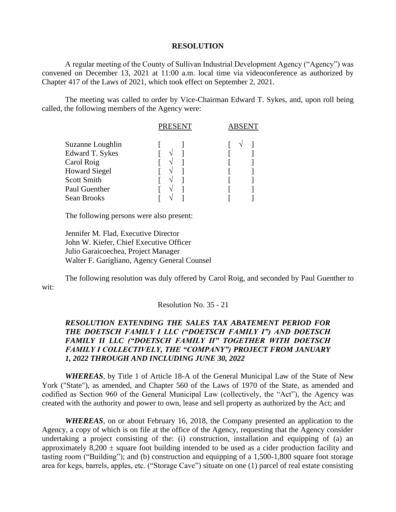## **RESOLUTION**

A regular meeting of the County of Sullivan Industrial Development Agency ("Agency") was convened on December 13, 2021 at 11:00 a.m. local time via videoconference as authorized by Chapter 417 of the Laws of 2021, which took effect on September 2, 2021.

The meeting was called to order by Vice-Chairman Edward T. Sykes, and, upon roll being called, the following members of the Agency were:

|                                     | <b>PRESENT</b> | <b>ABSENT</b> |  |
|-------------------------------------|----------------|---------------|--|
| Suzanne Loughlin<br>Edward T. Sykes |                |               |  |
| Carol Roig                          |                |               |  |
| <b>Howard Siegel</b>                |                |               |  |
| <b>Scott Smith</b>                  |                |               |  |
| Paul Guenther                       |                |               |  |
| Sean Brooks                         |                |               |  |

The following persons were also present:

Jennifer M. Flad, Executive Director John W. Kiefer, Chief Executive Officer Julio Garaicoechea, Project Manager Walter F. Garigliano, Agency General Counsel

The following resolution was duly offered by Carol Roig, and seconded by Paul Guenther to wit:

Resolution No. 35 - 21

## *RESOLUTION EXTENDING THE SALES TAX ABATEMENT PERIOD FOR THE DOETSCH FAMILY I LLC ("DOETSCH FAMILY I") AND DOETSCH FAMILY II LLC ("DOETSCH FAMILY II" TOGETHER WITH DOETSCH FAMILY I COLLECTIVELY, THE "COMPANY") PROJECT FROM JANUARY 1, 2022 THROUGH AND INCLUDING JUNE 30, 2022*

*WHEREAS*, by Title 1 of Article 18-A of the General Municipal Law of the State of New York ("State"), as amended, and Chapter 560 of the Laws of 1970 of the State, as amended and codified as Section 960 of the General Municipal Law (collectively, the "Act"), the Agency was created with the authority and power to own, lease and sell property as authorized by the Act; and

*WHEREAS*, on or about February 16, 2018, the Company presented an application to the Agency, a copy of which is on file at the office of the Agency, requesting that the Agency consider undertaking a project consisting of the: (i) construction, installation and equipping of (a) an approximately  $8,200 \pm$  square foot building intended to be used as a cider production facility and tasting room ("Building"); and (b) construction and equipping of a 1,500-1,800 square foot storage area for kegs, barrels, apples, etc. ("Storage Cave") situate on one (1) parcel of real estate consisting